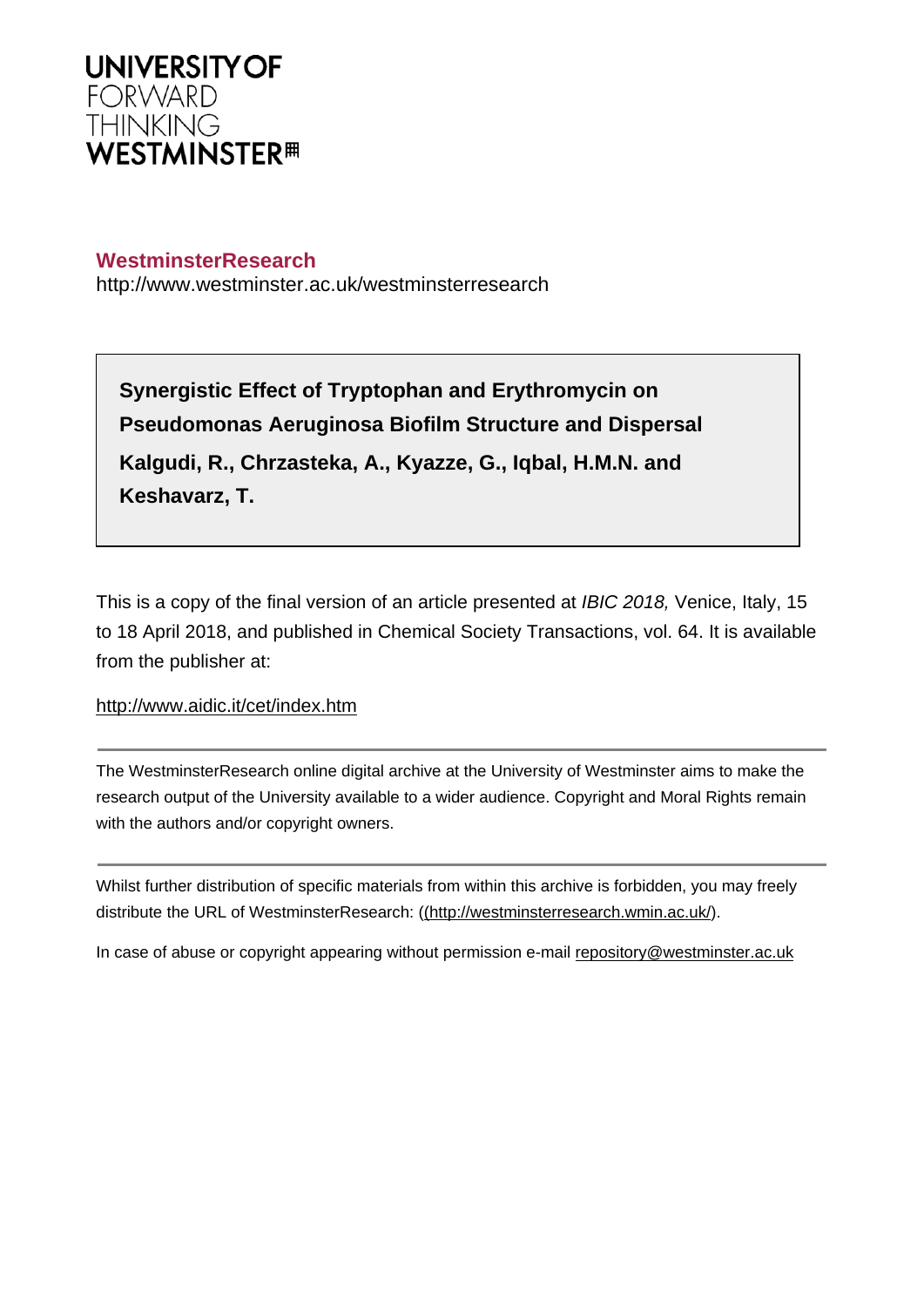

# **WestminsterResearch**

http://www.westminster.ac.uk/westminsterresearch

**Synergistic Effect of Tryptophan and Erythromycin on Pseudomonas Aeruginosa Biofilm Structure and Dispersal Kalgudi, R., Chrzasteka, A., Kyazze, G., Iqbal, H.M.N. and Keshavarz, T.**

This is a copy of the final version of an article presented at *IBIC 2018*, Venice, Italy, 15 to 18 April 2018, and published in Chemical Society Transactions, vol. 64. It is available from the publisher at:

<http://www.aidic.it/cet/index.htm>

The WestminsterResearch online digital archive at the University of Westminster aims to make the research output of the University available to a wider audience. Copyright and Moral Rights remain with the authors and/or copyright owners.

Whilst further distribution of specific materials from within this archive is forbidden, you may freely distribute the URL of WestminsterResearch: [\(\(http://westminsterresearch.wmin.ac.uk/](http://westminsterresearch.wmin.ac.uk/)).

In case of abuse or copyright appearing without permission e-mail <repository@westminster.ac.uk>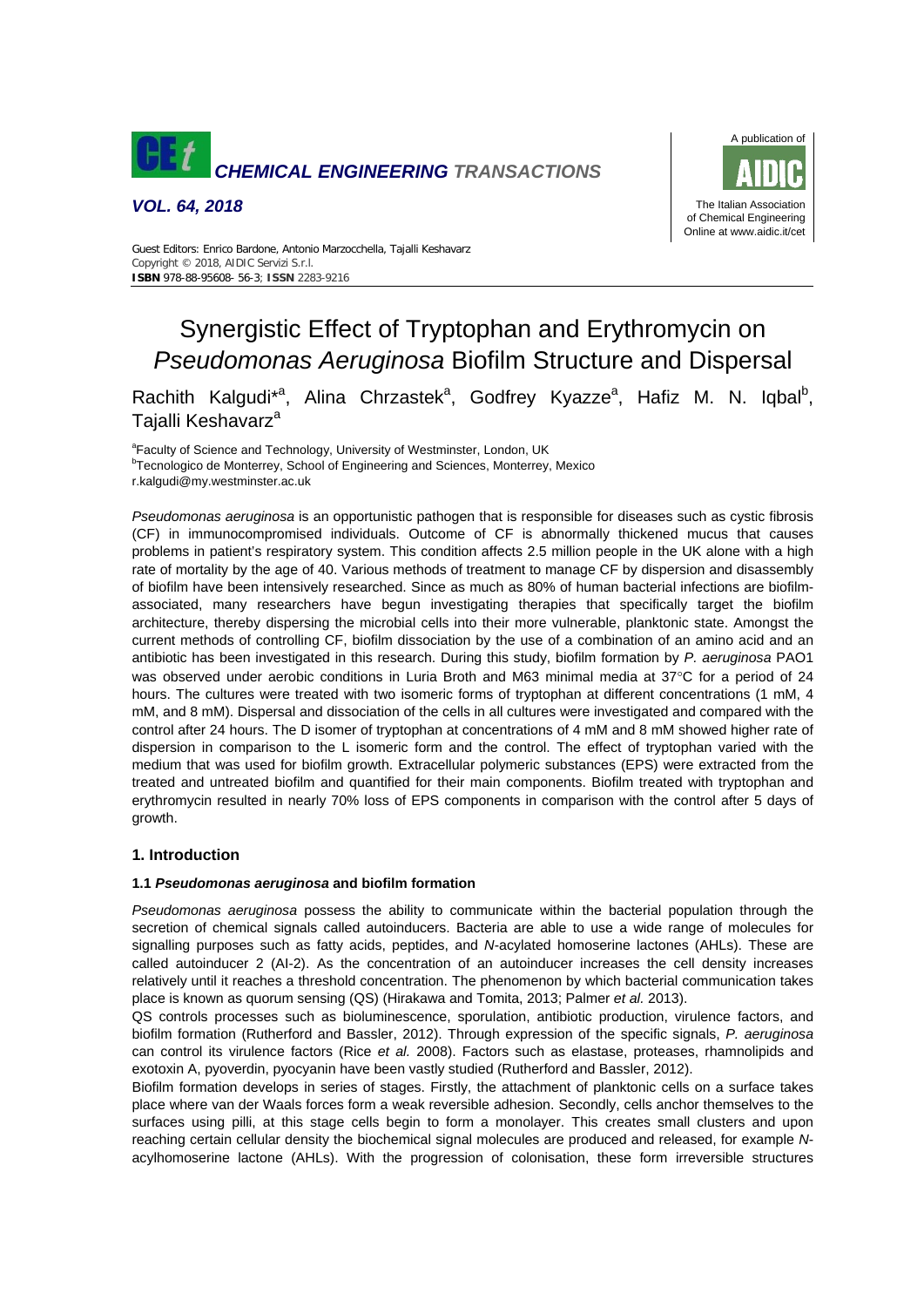

*VOL. 64, 2018* 



Guest Editors: Enrico Bardone, Antonio Marzocchella, Tajalli Keshavarz Copyright © 2018, AIDIC Servizi S.r.l. **ISBN** 978-88-95608- 56-3; **ISSN** 2283-9216

# Synergistic Effect of Tryptophan and Erythromycin on *Pseudomonas Aeruginosa* Biofilm Structure and Dispersal

Rachith Kalgudi<sup>\*a</sup>, Alina Chrzastek<sup>a</sup>, Godfrey Kyazze<sup>a</sup>, Hafiz M. N. Iqbal<sup>b</sup>, Tajalli Keshavarz<sup>a</sup>

<sup>a</sup> Faculty of Science and Technology, University of Westminster, London, UK

<sup>b</sup> Tecnologico de Monterrey, School of Engineering and Sciences, Monterrey, Mexico

r.kalgudi@my.westminster.ac.uk

*Pseudomonas aeruginosa* is an opportunistic pathogen that is responsible for diseases such as cystic fibrosis (CF) in immunocompromised individuals. Outcome of CF is abnormally thickened mucus that causes problems in patient's respiratory system. This condition affects 2.5 million people in the UK alone with a high rate of mortality by the age of 40. Various methods of treatment to manage CF by dispersion and disassembly of biofilm have been intensively researched. Since as much as 80% of human bacterial infections are biofilmassociated, many researchers have begun investigating therapies that specifically target the biofilm architecture, thereby dispersing the microbial cells into their more vulnerable, planktonic state. Amongst the current methods of controlling CF, biofilm dissociation by the use of a combination of an amino acid and an antibiotic has been investigated in this research. During this study, biofilm formation by *P. aeruginosa* PAO1 was observed under aerobic conditions in Luria Broth and M63 minimal media at 37°C for a period of 24 hours. The cultures were treated with two isomeric forms of tryptophan at different concentrations (1 mM, 4 mM, and 8 mM). Dispersal and dissociation of the cells in all cultures were investigated and compared with the control after 24 hours. The D isomer of tryptophan at concentrations of 4 mM and 8 mM showed higher rate of dispersion in comparison to the L isomeric form and the control. The effect of tryptophan varied with the medium that was used for biofilm growth. Extracellular polymeric substances (EPS) were extracted from the treated and untreated biofilm and quantified for their main components. Biofilm treated with tryptophan and erythromycin resulted in nearly 70% loss of EPS components in comparison with the control after 5 days of growth.

# **1. Introduction**

#### **1.1** *Pseudomonas aeruginosa* **and biofilm formation**

*Pseudomonas aeruginosa* possess the ability to communicate within the bacterial population through the secretion of chemical signals called autoinducers. Bacteria are able to use a wide range of molecules for signalling purposes such as fatty acids, peptides, and *N*-acylated homoserine lactones (AHLs). These are called autoinducer 2 (AI-2). As the concentration of an autoinducer increases the cell density increases relatively until it reaches a threshold concentration. The phenomenon by which bacterial communication takes place is known as quorum sensing (QS) (Hirakawa and Tomita, 2013; Palmer *et al.* 2013).

QS controls processes such as bioluminescence, sporulation, antibiotic production, virulence factors, and biofilm formation (Rutherford and Bassler, 2012). Through expression of the specific signals, *P. aeruginosa*  can control its virulence factors (Rice *et al.* 2008). Factors such as elastase, proteases, rhamnolipids and exotoxin A, pyoverdin, pyocyanin have been vastly studied (Rutherford and Bassler, 2012).

Biofilm formation develops in series of stages. Firstly, the attachment of planktonic cells on a surface takes place where van der Waals forces form a weak reversible adhesion. Secondly, cells anchor themselves to the surfaces using pilli, at this stage cells begin to form a monolayer. This creates small clusters and upon reaching certain cellular density the biochemical signal molecules are produced and released, for example *N*acylhomoserine lactone (AHLs). With the progression of colonisation, these form irreversible structures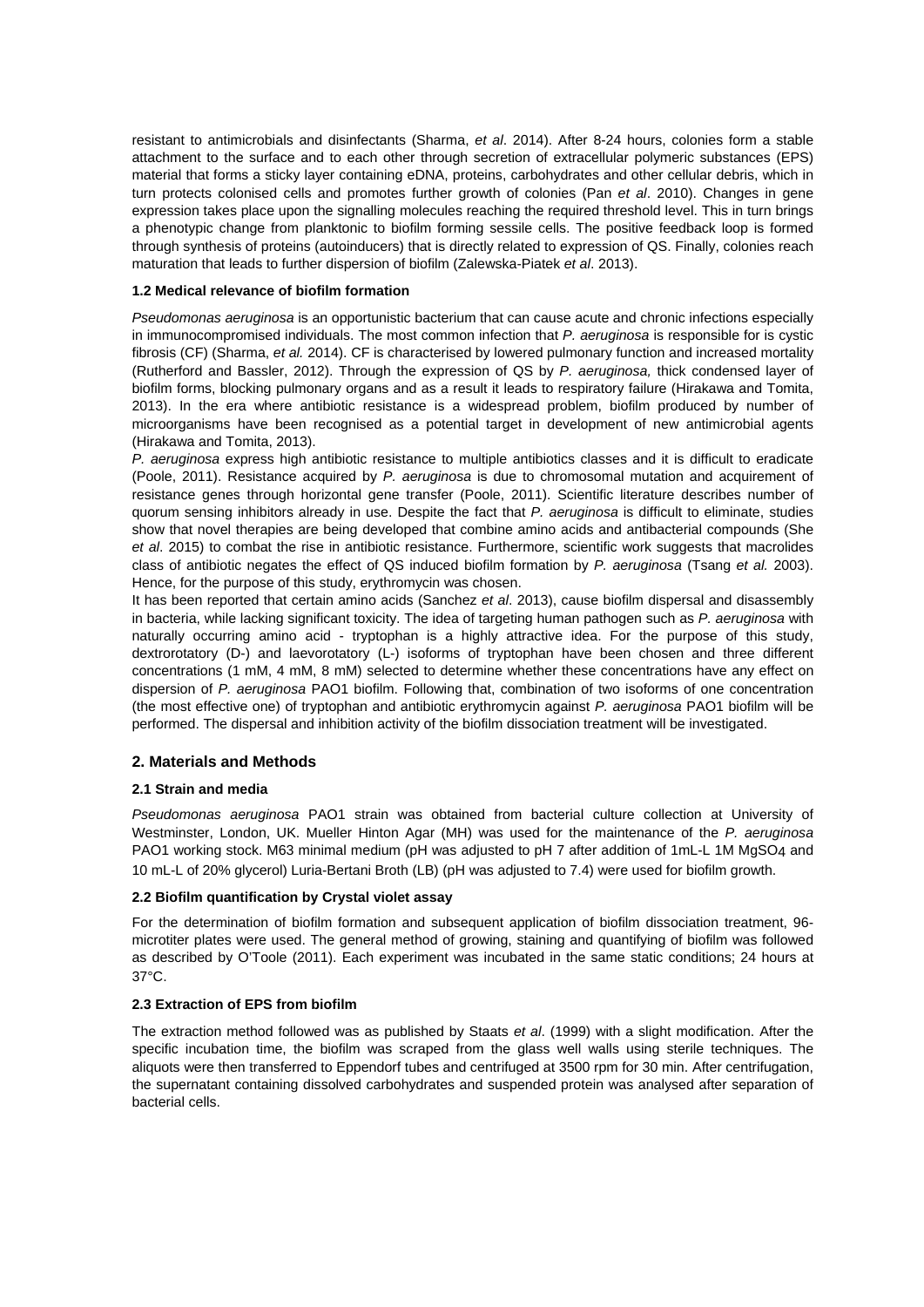resistant to antimicrobials and disinfectants (Sharma, *et al*. 2014). After 8-24 hours, colonies form a stable attachment to the surface and to each other through secretion of extracellular polymeric substances (EPS) material that forms a sticky layer containing eDNA, proteins, carbohydrates and other cellular debris, which in turn protects colonised cells and promotes further growth of colonies (Pan *et al*. 2010). Changes in gene expression takes place upon the signalling molecules reaching the required threshold level. This in turn brings a phenotypic change from planktonic to biofilm forming sessile cells. The positive feedback loop is formed through synthesis of proteins (autoinducers) that is directly related to expression of QS. Finally, colonies reach maturation that leads to further dispersion of biofilm (Zalewska-Piatek *et al*. 2013).

#### **1.2 Medical relevance of biofilm formation**

*Pseudomonas aeruginosa* is an opportunistic bacterium that can cause acute and chronic infections especially in immunocompromised individuals. The most common infection that *P. aeruginosa* is responsible for is cystic fibrosis (CF) (Sharma, *et al.* 2014). CF is characterised by lowered pulmonary function and increased mortality (Rutherford and Bassler, 2012). Through the expression of QS by *P. aeruginosa,* thick condensed layer of biofilm forms, blocking pulmonary organs and as a result it leads to respiratory failure (Hirakawa and Tomita, 2013). In the era where antibiotic resistance is a widespread problem, biofilm produced by number of microorganisms have been recognised as a potential target in development of new antimicrobial agents (Hirakawa and Tomita, 2013).

*P. aeruginosa* express high antibiotic resistance to multiple antibiotics classes and it is difficult to eradicate (Poole, 2011). Resistance acquired by *P. aeruginosa* is due to chromosomal mutation and acquirement of resistance genes through horizontal gene transfer (Poole, 2011). Scientific literature describes number of quorum sensing inhibitors already in use. Despite the fact that *P. aeruginosa* is difficult to eliminate, studies show that novel therapies are being developed that combine amino acids and antibacterial compounds (She *et al*. 2015) to combat the rise in antibiotic resistance. Furthermore, scientific work suggests that macrolides class of antibiotic negates the effect of QS induced biofilm formation by *P. aeruginosa* (Tsang *et al.* 2003). Hence, for the purpose of this study, erythromycin was chosen.

It has been reported that certain amino acids (Sanchez *et al*. 2013), cause biofilm dispersal and disassembly in bacteria, while lacking significant toxicity. The idea of targeting human pathogen such as *P. aeruginosa* with naturally occurring amino acid - tryptophan is a highly attractive idea. For the purpose of this study, dextrorotatory (D-) and laevorotatory (L-) isoforms of tryptophan have been chosen and three different concentrations (1 mM, 4 mM, 8 mM) selected to determine whether these concentrations have any effect on dispersion of *P. aeruginosa* PAO1 biofilm. Following that, combination of two isoforms of one concentration (the most effective one) of tryptophan and antibiotic erythromycin against *P. aeruginosa* PAO1 biofilm will be performed. The dispersal and inhibition activity of the biofilm dissociation treatment will be investigated.

# **2. Materials and Methods**

#### **2.1 Strain and media**

*Pseudomonas aeruginosa* PAO1 strain was obtained from bacterial culture collection at University of Westminster, London, UK. Mueller Hinton Agar (MH) was used for the maintenance of the *P. aeruginosa* PAO1 working stock. M63 minimal medium (pH was adjusted to pH 7 after addition of 1mL-L 1M MgSO4 and 10 mL-L of 20% glycerol) Luria-Bertani Broth (LB) (pH was adjusted to 7.4) were used for biofilm growth.

#### **2.2 Biofilm quantification by Crystal violet assay**

For the determination of biofilm formation and subsequent application of biofilm dissociation treatment, 96 microtiter plates were used. The general method of growing, staining and quantifying of biofilm was followed as described by O'Toole (2011). Each experiment was incubated in the same static conditions; 24 hours at 37°C.

# **2.3 Extraction of EPS from biofilm**

The extraction method followed was as published by Staats *et al*. (1999) with a slight modification. After the specific incubation time, the biofilm was scraped from the glass well walls using sterile techniques. The aliquots were then transferred to Eppendorf tubes and centrifuged at 3500 rpm for 30 min. After centrifugation, the supernatant containing dissolved carbohydrates and suspended protein was analysed after separation of bacterial cells.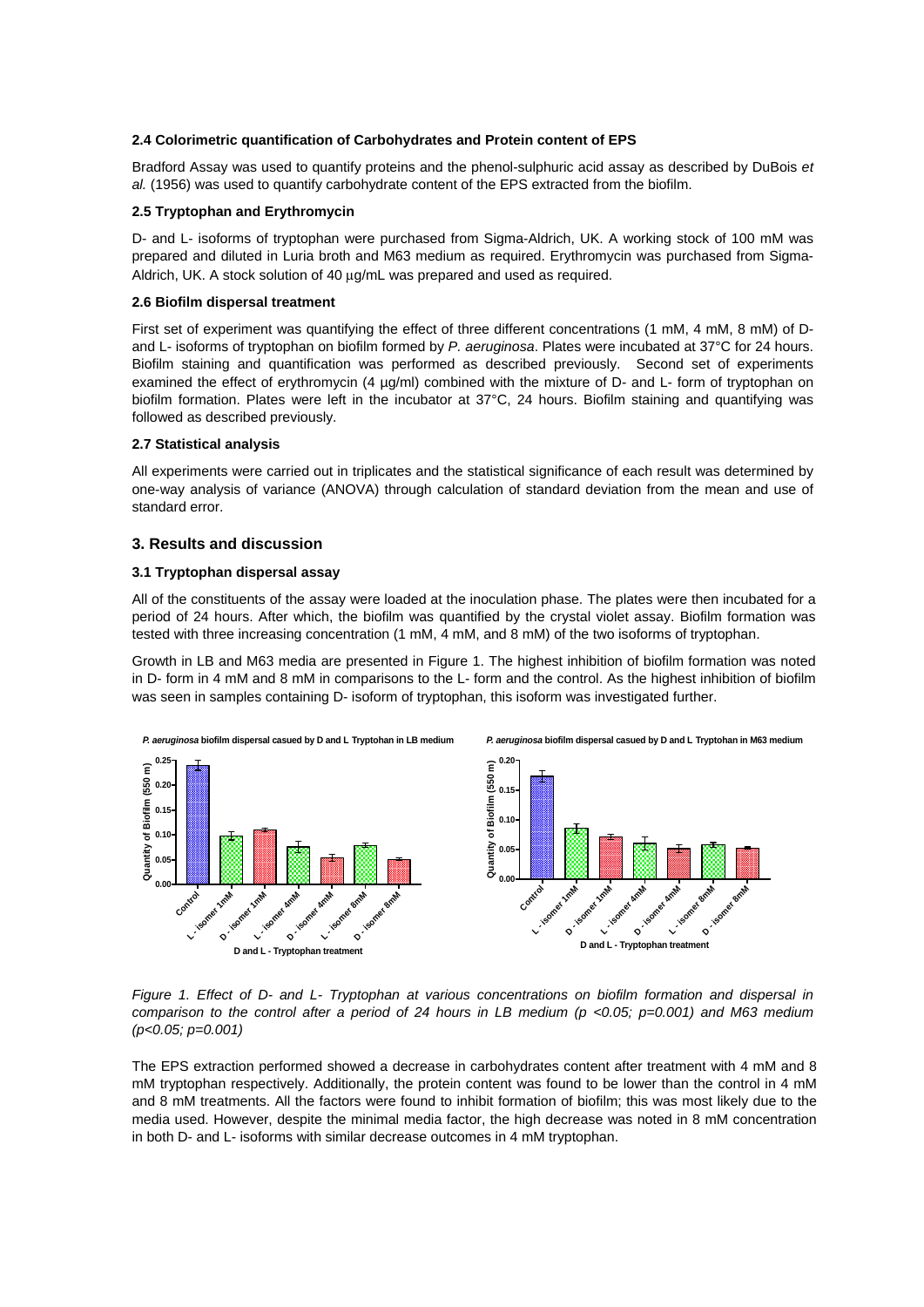#### **2.4 Colorimetric quantification of Carbohydrates and Protein content of EPS**

Bradford Assay was used to quantify proteins and the phenol-sulphuric acid assay as described by DuBois *et al.* (1956) was used to quantify carbohydrate content of the EPS extracted from the biofilm.

#### **2.5 Tryptophan and Erythromycin**

D- and L- isoforms of tryptophan were purchased from Sigma-Aldrich, UK. A working stock of 100 mM was prepared and diluted in Luria broth and M63 medium as required. Erythromycin was purchased from Sigma-Aldrich, UK. A stock solution of 40 μg/mL was prepared and used as required.

#### **2.6 Biofilm dispersal treatment**

First set of experiment was quantifying the effect of three different concentrations (1 mM, 4 mM, 8 mM) of Dand L- isoforms of tryptophan on biofilm formed by *P. aeruginosa*. Plates were incubated at 37°C for 24 hours. Biofilm staining and quantification was performed as described previously. Second set of experiments examined the effect of erythromycin (4 µg/ml) combined with the mixture of D- and L- form of tryptophan on biofilm formation. Plates were left in the incubator at 37°C, 24 hours. Biofilm staining and quantifying was followed as described previously.

#### **2.7 Statistical analysis**

All experiments were carried out in triplicates and the statistical significance of each result was determined by one-way analysis of variance (ANOVA) through calculation of standard deviation from the mean and use of standard error.

#### **3. Results and discussion**

#### **3.1 Tryptophan dispersal assay**

All of the constituents of the assay were loaded at the inoculation phase. The plates were then incubated for a period of 24 hours. After which, the biofilm was quantified by the crystal violet assay. Biofilm formation was tested with three increasing concentration (1 mM, 4 mM, and 8 mM) of the two isoforms of tryptophan.

Growth in LB and M63 media are presented in Figure 1. The highest inhibition of biofilm formation was noted in D- form in 4 mM and 8 mM in comparisons to the L- form and the control. As the highest inhibition of biofilm was seen in samples containing D- isoform of tryptophan, this isoform was investigated further.



*Figure 1. Effect of D- and L- Tryptophan at various concentrations on biofilm formation and dispersal in comparison to the control after a period of 24 hours in LB medium (p <0.05; p=0.001) and M63 medium (p<0.05; p=0.001)* 

The EPS extraction performed showed a decrease in carbohydrates content after treatment with 4 mM and 8 mM tryptophan respectively. Additionally, the protein content was found to be lower than the control in 4 mM and 8 mM treatments. All the factors were found to inhibit formation of biofilm; this was most likely due to the media used. However, despite the minimal media factor, the high decrease was noted in 8 mM concentration in both D- and L- isoforms with similar decrease outcomes in 4 mM tryptophan.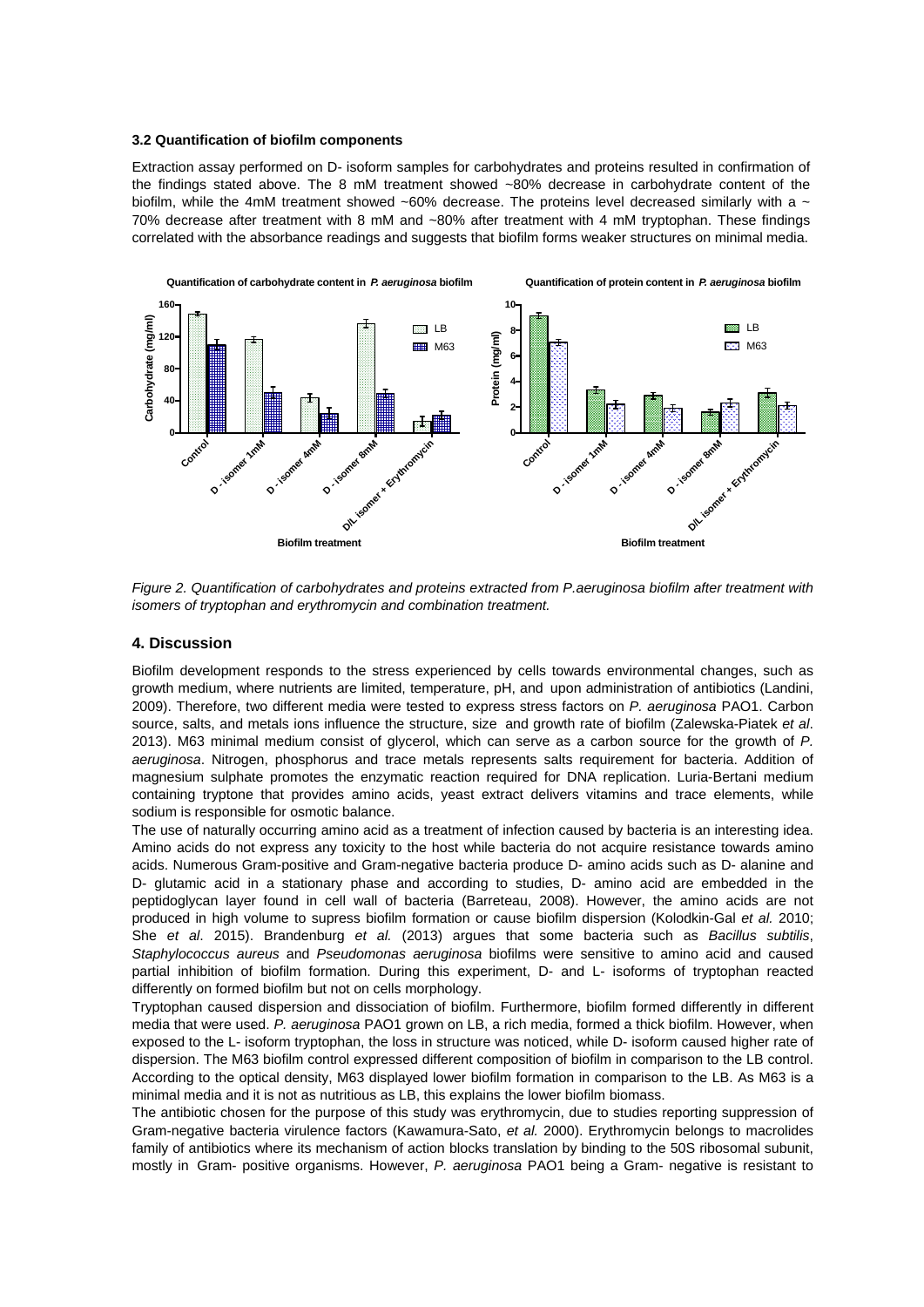#### **3.2 Quantification of biofilm components**

Extraction assay performed on D- isoform samples for carbohydrates and proteins resulted in confirmation of the findings stated above. The 8 mM treatment showed ~80% decrease in carbohydrate content of the biofilm, while the 4mM treatment showed ~60% decrease. The proteins level decreased similarly with a  $\sim$ 70% decrease after treatment with 8 mM and ~80% after treatment with 4 mM tryptophan. These findings correlated with the absorbance readings and suggests that biofilm forms weaker structures on minimal media.



*Figure 2. Quantification of carbohydrates and proteins extracted from P.aeruginosa biofilm after treatment with isomers of tryptophan and erythromycin and combination treatment.* 

# **4. Discussion**

Biofilm development responds to the stress experienced by cells towards environmental changes, such as growth medium, where nutrients are limited, temperature, pH, and upon administration of antibiotics (Landini, 2009). Therefore, two different media were tested to express stress factors on *P. aeruginosa* PAO1. Carbon source, salts, and metals ions influence the structure, size and growth rate of biofilm (Zalewska-Piatek *et al*. 2013). M63 minimal medium consist of glycerol, which can serve as a carbon source for the growth of *P. aeruginosa*. Nitrogen, phosphorus and trace metals represents salts requirement for bacteria. Addition of magnesium sulphate promotes the enzymatic reaction required for DNA replication. Luria-Bertani medium containing tryptone that provides amino acids, yeast extract delivers vitamins and trace elements, while sodium is responsible for osmotic balance.

The use of naturally occurring amino acid as a treatment of infection caused by bacteria is an interesting idea. Amino acids do not express any toxicity to the host while bacteria do not acquire resistance towards amino acids. Numerous Gram-positive and Gram-negative bacteria produce D- amino acids such as D- alanine and D- glutamic acid in a stationary phase and according to studies, D- amino acid are embedded in the peptidoglycan layer found in cell wall of bacteria (Barreteau, 2008). However, the amino acids are not produced in high volume to supress biofilm formation or cause biofilm dispersion (Kolodkin-Gal *et al.* 2010; She *et al*. 2015). Brandenburg *et al.* (2013) argues that some bacteria such as *Bacillus subtilis*, *Staphylococcus aureus* and *Pseudomonas aeruginosa* biofilms were sensitive to amino acid and caused partial inhibition of biofilm formation. During this experiment, D- and L- isoforms of tryptophan reacted differently on formed biofilm but not on cells morphology.

Tryptophan caused dispersion and dissociation of biofilm. Furthermore, biofilm formed differently in different media that were used. *P. aeruginosa* PAO1 grown on LB, a rich media, formed a thick biofilm. However, when exposed to the L- isoform tryptophan, the loss in structure was noticed, while D- isoform caused higher rate of dispersion. The M63 biofilm control expressed different composition of biofilm in comparison to the LB control. According to the optical density, M63 displayed lower biofilm formation in comparison to the LB. As M63 is a minimal media and it is not as nutritious as LB, this explains the lower biofilm biomass.

The antibiotic chosen for the purpose of this study was erythromycin, due to studies reporting suppression of Gram-negative bacteria virulence factors (Kawamura-Sato, *et al.* 2000). Erythromycin belongs to macrolides family of antibiotics where its mechanism of action blocks translation by binding to the 50S ribosomal subunit, mostly in Gram- positive organisms. However, *P. aeruginosa* PAO1 being a Gram- negative is resistant to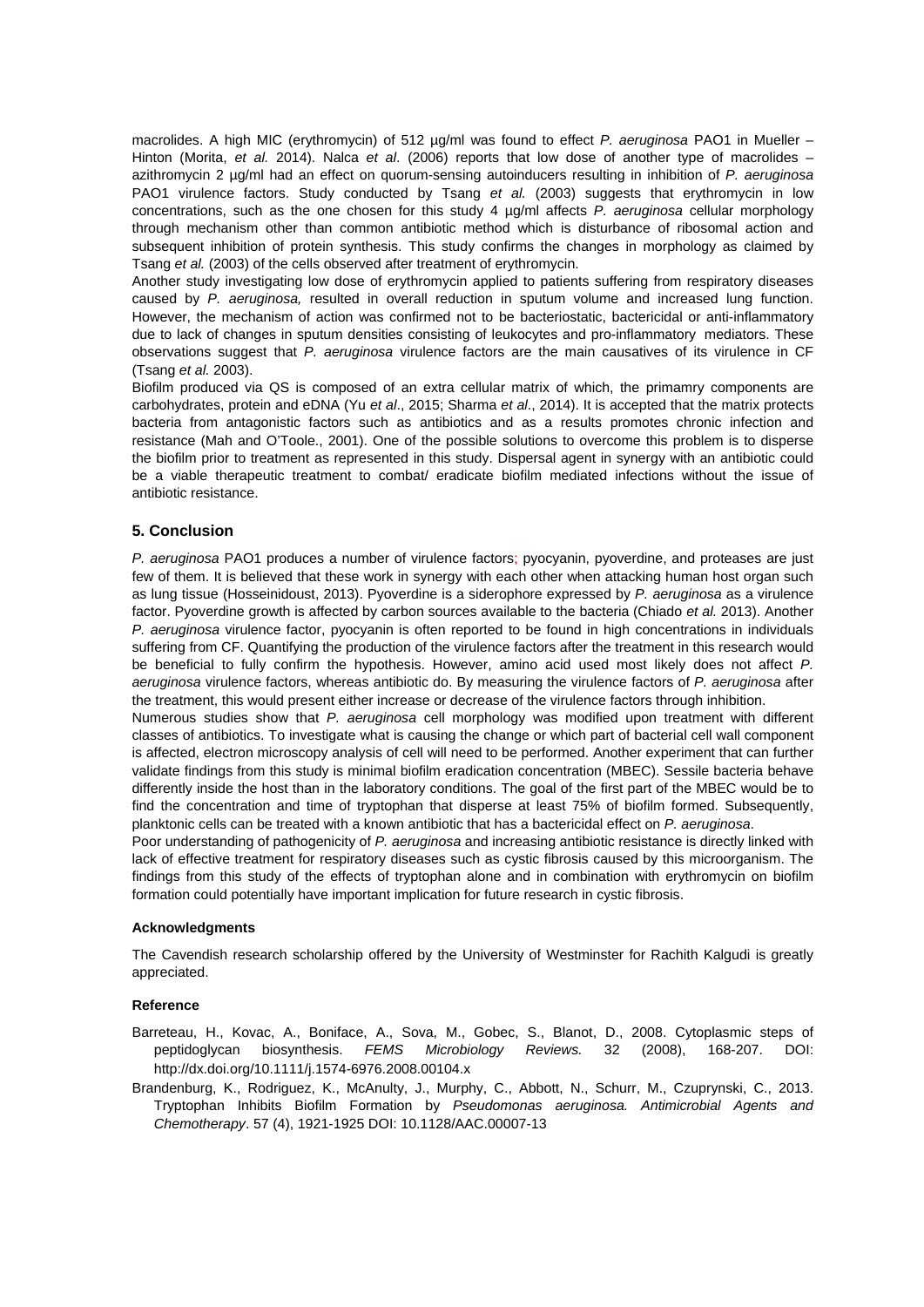macrolides. A high MIC (erythromycin) of 512 µg/ml was found to effect *P. aeruginosa* PAO1 in Mueller – Hinton (Morita, *et al.* 2014). Nalca *et al*. (2006) reports that low dose of another type of macrolides – azithromycin 2 µg/ml had an effect on quorum-sensing autoinducers resulting in inhibition of *P. aeruginosa*  PAO1 virulence factors. Study conducted by Tsang *et al.* (2003) suggests that erythromycin in low concentrations, such as the one chosen for this study 4 µg/ml affects *P. aeruginosa* cellular morphology through mechanism other than common antibiotic method which is disturbance of ribosomal action and subsequent inhibition of protein synthesis. This study confirms the changes in morphology as claimed by Tsang *et al.* (2003) of the cells observed after treatment of erythromycin.

Another study investigating low dose of erythromycin applied to patients suffering from respiratory diseases caused by *P. aeruginosa,* resulted in overall reduction in sputum volume and increased lung function. However, the mechanism of action was confirmed not to be bacteriostatic, bactericidal or anti-inflammatory due to lack of changes in sputum densities consisting of leukocytes and pro-inflammatory mediators. These observations suggest that *P. aeruginosa* virulence factors are the main causatives of its virulence in CF (Tsang *et al.* 2003).

Biofilm produced via QS is composed of an extra cellular matrix of which, the primamry components are carbohydrates, protein and eDNA (Yu *et al*., 2015; Sharma *et al*., 2014). It is accepted that the matrix protects bacteria from antagonistic factors such as antibiotics and as a results promotes chronic infection and resistance (Mah and O'Toole., 2001). One of the possible solutions to overcome this problem is to disperse the biofilm prior to treatment as represented in this study. Dispersal agent in synergy with an antibiotic could be a viable therapeutic treatment to combat/ eradicate biofilm mediated infections without the issue of antibiotic resistance.

# **5. Conclusion**

*P. aeruginosa* PAO1 produces a number of virulence factors; pyocyanin, pyoverdine, and proteases are just few of them. It is believed that these work in synergy with each other when attacking human host organ such as lung tissue (Hosseinidoust, 2013). Pyoverdine is a siderophore expressed by *P. aeruginosa* as a virulence factor. Pyoverdine growth is affected by carbon sources available to the bacteria (Chiado *et al.* 2013). Another *P. aeruginosa* virulence factor, pyocyanin is often reported to be found in high concentrations in individuals suffering from CF. Quantifying the production of the virulence factors after the treatment in this research would be beneficial to fully confirm the hypothesis. However, amino acid used most likely does not affect *P. aeruginosa* virulence factors, whereas antibiotic do. By measuring the virulence factors of *P. aeruginosa* after the treatment, this would present either increase or decrease of the virulence factors through inhibition.

Numerous studies show that *P. aeruginosa* cell morphology was modified upon treatment with different classes of antibiotics. To investigate what is causing the change or which part of bacterial cell wall component is affected, electron microscopy analysis of cell will need to be performed. Another experiment that can further validate findings from this study is minimal biofilm eradication concentration (MBEC). Sessile bacteria behave differently inside the host than in the laboratory conditions. The goal of the first part of the MBEC would be to find the concentration and time of tryptophan that disperse at least 75% of biofilm formed. Subsequently, planktonic cells can be treated with a known antibiotic that has a bactericidal effect on *P. aeruginosa*.

Poor understanding of pathogenicity of *P. aeruginosa* and increasing antibiotic resistance is directly linked with lack of effective treatment for respiratory diseases such as cystic fibrosis caused by this microorganism. The findings from this study of the effects of tryptophan alone and in combination with erythromycin on biofilm formation could potentially have important implication for future research in cystic fibrosis.

#### **Acknowledgments**

The Cavendish research scholarship offered by the University of Westminster for Rachith Kalgudi is greatly appreciated.

#### **Reference**

- Barreteau, H., Kovac, A., Boniface, A., Sova, M., Gobec, S., Blanot, D., 2008. Cytoplasmic steps of peptidoglycan biosynthesis. *FEMS Microbiology Reviews.* 32 (2008), 168-207. DOI: http://dx.doi.org/10.1111/j.1574-6976.2008.00104.x
- Brandenburg, K., Rodriguez, K., McAnulty, J., Murphy, C., Abbott, N., Schurr, M., Czuprynski, C., 2013. Tryptophan Inhibits Biofilm Formation by *Pseudomonas aeruginosa. Antimicrobial Agents and Chemotherapy*. 57 (4), 1921-1925 DOI: 10.1128/AAC.00007-13